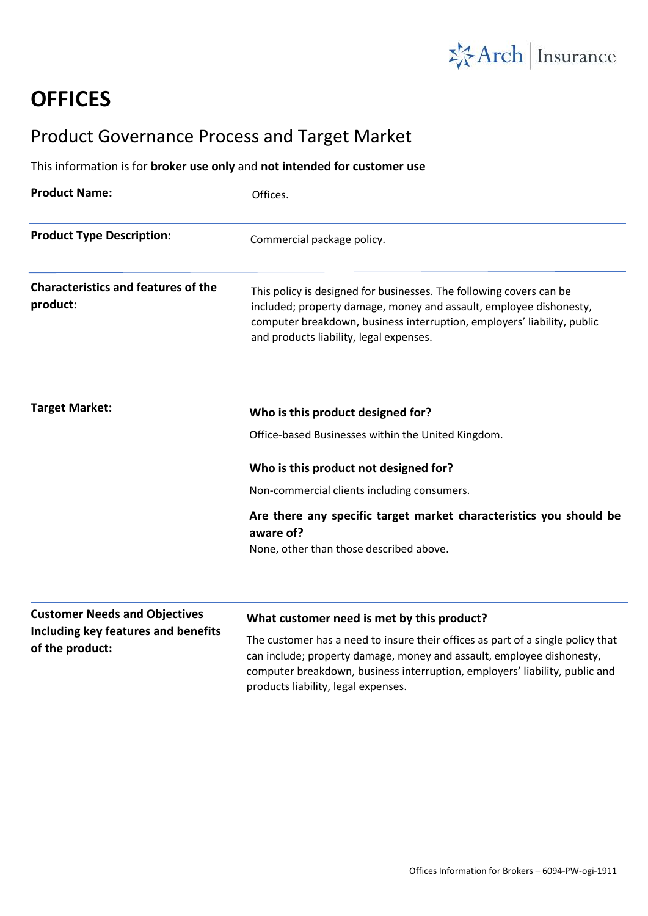

# **OFFICES**

# Product Governance Process and Target Market

## This information is for **broker use only** and **not intended for customer use**

| <b>Product Name:</b>                                   | Offices.                                                                                                                                                                                                                                                        |
|--------------------------------------------------------|-----------------------------------------------------------------------------------------------------------------------------------------------------------------------------------------------------------------------------------------------------------------|
| <b>Product Type Description:</b>                       | Commercial package policy.                                                                                                                                                                                                                                      |
| <b>Characteristics and features of the</b><br>product: | This policy is designed for businesses. The following covers can be<br>included; property damage, money and assault, employee dishonesty,<br>computer breakdown, business interruption, employers' liability, public<br>and products liability, legal expenses. |
| <b>Target Market:</b>                                  | Who is this product designed for?                                                                                                                                                                                                                               |
|                                                        | Office-based Businesses within the United Kingdom.                                                                                                                                                                                                              |
|                                                        | Who is this product not designed for?                                                                                                                                                                                                                           |
|                                                        | Non-commercial clients including consumers.                                                                                                                                                                                                                     |
|                                                        | Are there any specific target market characteristics you should be<br>aware of?                                                                                                                                                                                 |
|                                                        | None, other than those described above.                                                                                                                                                                                                                         |
| <b>Customer Needs and Objectives</b>                   |                                                                                                                                                                                                                                                                 |
| Including key features and benefits<br>of the product: | What customer need is met by this product?<br>The customer has a need to insure their offices as part of a single policy that                                                                                                                                   |
|                                                        | a construction of a construction of the construction of the construction of the construction of the constructio                                                                                                                                                 |

can include; property damage, money and assault, employee dishonesty, computer breakdown, business interruption, employers' liability, public and products liability, legal expenses.